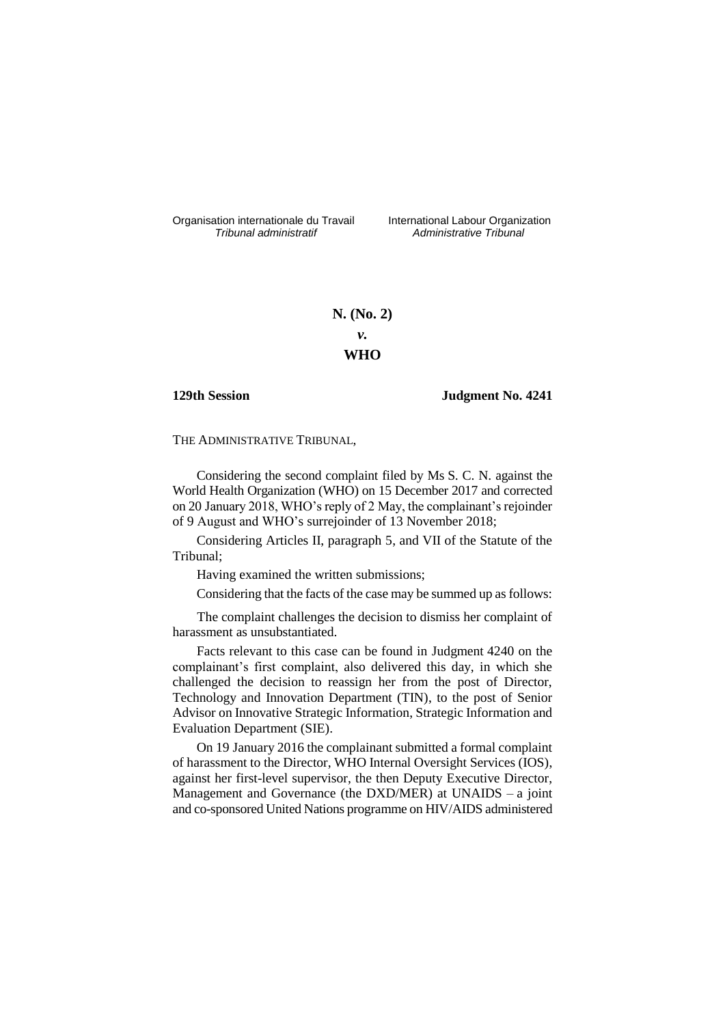Organisation internationale du Travail liternational Labour Organization<br> *Tribunal administratif Administrative Tribunal* 

*Tribunal administratif Administrative Tribunal*

**N. (No. 2)** *v.* **WHO**

## **129th Session Judgment No. 4241**

THE ADMINISTRATIVE TRIBUNAL,

Considering the second complaint filed by Ms S. C. N. against the World Health Organization (WHO) on 15 December 2017 and corrected on 20 January 2018, WHO's reply of 2 May, the complainant's rejoinder of 9 August and WHO's surrejoinder of 13 November 2018;

Considering Articles II, paragraph 5, and VII of the Statute of the Tribunal;

Having examined the written submissions;

Considering that the facts of the case may be summed up as follows:

The complaint challenges the decision to dismiss her complaint of harassment as unsubstantiated.

Facts relevant to this case can be found in Judgment 4240 on the complainant's first complaint, also delivered this day, in which she challenged the decision to reassign her from the post of Director, Technology and Innovation Department (TIN), to the post of Senior Advisor on Innovative Strategic Information, Strategic Information and Evaluation Department (SIE).

On 19 January 2016 the complainant submitted a formal complaint of harassment to the Director, WHO Internal Oversight Services (IOS), against her first-level supervisor, the then Deputy Executive Director, Management and Governance (the DXD/MER) at UNAIDS – a joint and co-sponsored United Nations programme on HIV/AIDS administered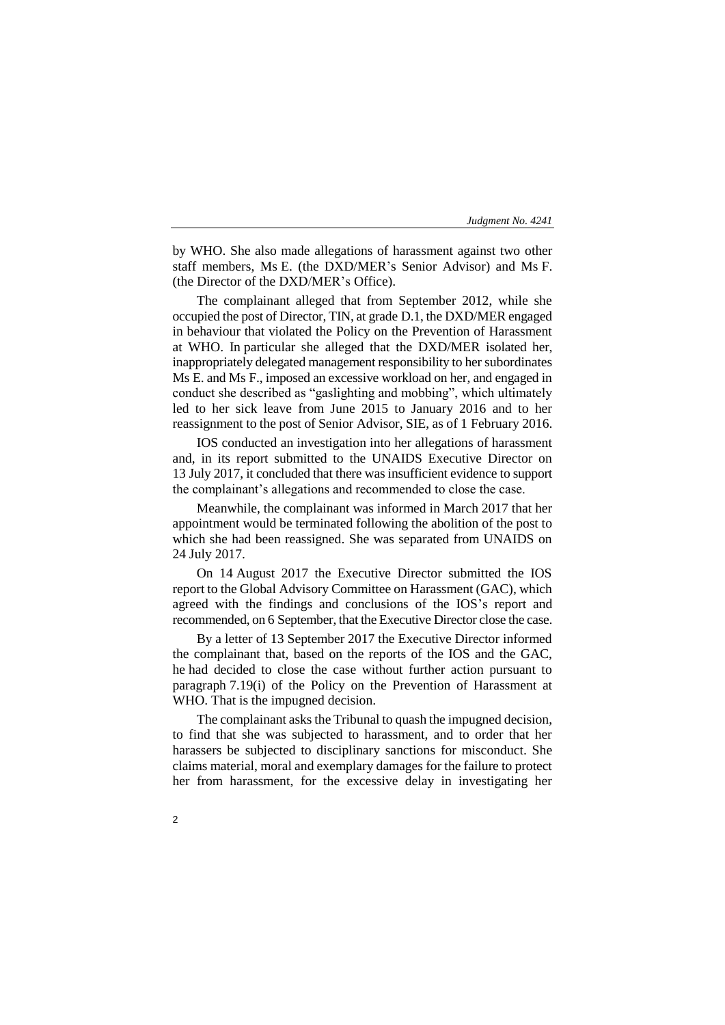by WHO. She also made allegations of harassment against two other staff members, Ms E. (the DXD/MER's Senior Advisor) and Ms F. (the Director of the DXD/MER's Office).

The complainant alleged that from September 2012, while she occupied the post of Director, TIN, at grade D.1, the DXD/MER engaged in behaviour that violated the Policy on the Prevention of Harassment at WHO. In particular she alleged that the DXD/MER isolated her, inappropriately delegated management responsibility to her subordinates Ms E. and Ms F., imposed an excessive workload on her, and engaged in conduct she described as "gaslighting and mobbing", which ultimately led to her sick leave from June 2015 to January 2016 and to her reassignment to the post of Senior Advisor, SIE, as of 1 February 2016.

IOS conducted an investigation into her allegations of harassment and, in its report submitted to the UNAIDS Executive Director on 13 July 2017, it concluded that there was insufficient evidence to support the complainant's allegations and recommended to close the case.

Meanwhile, the complainant was informed in March 2017 that her appointment would be terminated following the abolition of the post to which she had been reassigned. She was separated from UNAIDS on 24 July 2017.

On 14 August 2017 the Executive Director submitted the IOS report to the Global Advisory Committee on Harassment (GAC), which agreed with the findings and conclusions of the IOS's report and recommended, on 6 September, that the Executive Director close the case.

By a letter of 13 September 2017 the Executive Director informed the complainant that, based on the reports of the IOS and the GAC, he had decided to close the case without further action pursuant to paragraph 7.19(i) of the Policy on the Prevention of Harassment at WHO. That is the impugned decision.

The complainant asks the Tribunal to quash the impugned decision, to find that she was subjected to harassment, and to order that her harassers be subjected to disciplinary sanctions for misconduct. She claims material, moral and exemplary damages for the failure to protect her from harassment, for the excessive delay in investigating her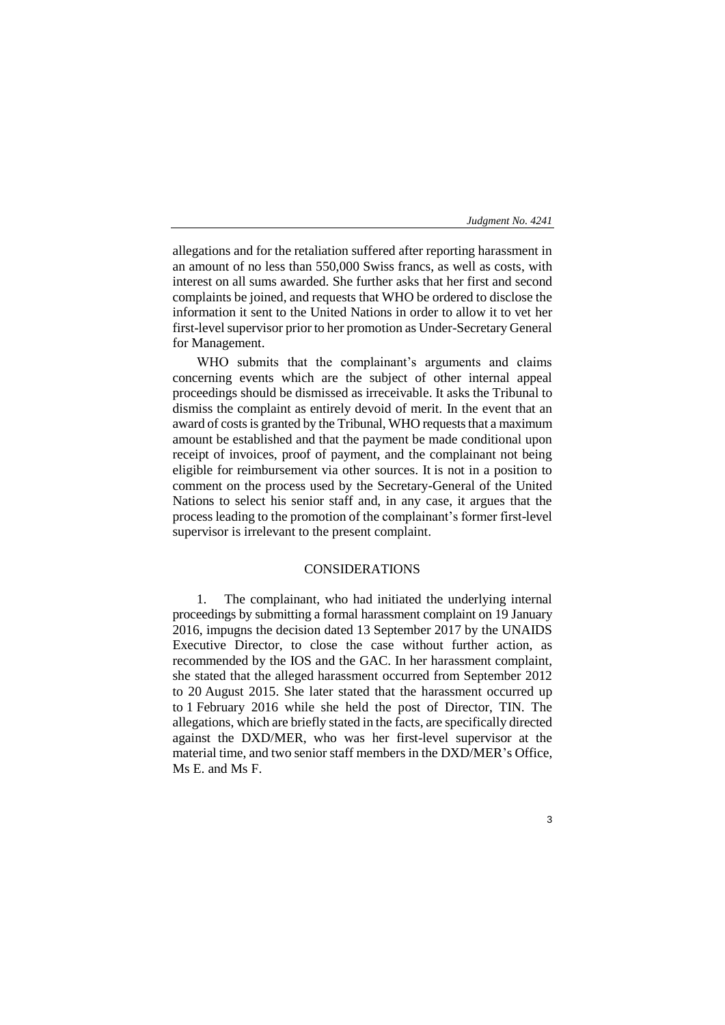allegations and for the retaliation suffered after reporting harassment in an amount of no less than 550,000 Swiss francs, as well as costs, with interest on all sums awarded. She further asks that her first and second complaints be joined, and requests that WHO be ordered to disclose the information it sent to the United Nations in order to allow it to vet her first-level supervisor prior to her promotion as Under-Secretary General for Management.

WHO submits that the complainant's arguments and claims concerning events which are the subject of other internal appeal proceedings should be dismissed as irreceivable. It asks the Tribunal to dismiss the complaint as entirely devoid of merit. In the event that an award of costs is granted by the Tribunal, WHO requests that a maximum amount be established and that the payment be made conditional upon receipt of invoices, proof of payment, and the complainant not being eligible for reimbursement via other sources. It is not in a position to comment on the process used by the Secretary-General of the United Nations to select his senior staff and, in any case, it argues that the process leading to the promotion of the complainant's former first-level supervisor is irrelevant to the present complaint.

## CONSIDERATIONS

1. The complainant, who had initiated the underlying internal proceedings by submitting a formal harassment complaint on 19 January 2016, impugns the decision dated 13 September 2017 by the UNAIDS Executive Director, to close the case without further action, as recommended by the IOS and the GAC. In her harassment complaint, she stated that the alleged harassment occurred from September 2012 to 20 August 2015. She later stated that the harassment occurred up to 1 February 2016 while she held the post of Director, TIN. The allegations, which are briefly stated in the facts, are specifically directed against the DXD/MER, who was her first-level supervisor at the material time, and two senior staff members in the DXD/MER's Office, Ms E. and Ms F.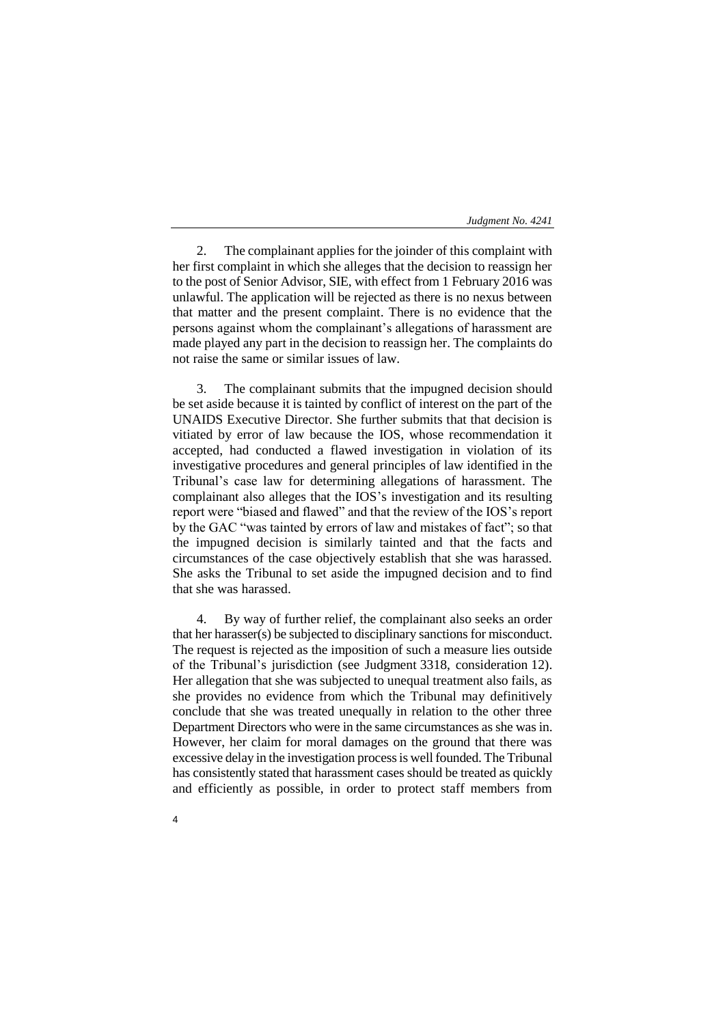2. The complainant applies for the joinder of this complaint with her first complaint in which she alleges that the decision to reassign her to the post of Senior Advisor, SIE, with effect from 1 February 2016 was unlawful. The application will be rejected as there is no nexus between that matter and the present complaint. There is no evidence that the persons against whom the complainant's allegations of harassment are made played any part in the decision to reassign her. The complaints do not raise the same or similar issues of law.

3. The complainant submits that the impugned decision should be set aside because it is tainted by conflict of interest on the part of the UNAIDS Executive Director. She further submits that that decision is vitiated by error of law because the IOS, whose recommendation it accepted, had conducted a flawed investigation in violation of its investigative procedures and general principles of law identified in the Tribunal's case law for determining allegations of harassment. The complainant also alleges that the IOS's investigation and its resulting report were "biased and flawed" and that the review of the IOS's report by the GAC "was tainted by errors of law and mistakes of fact"; so that the impugned decision is similarly tainted and that the facts and circumstances of the case objectively establish that she was harassed. She asks the Tribunal to set aside the impugned decision and to find that she was harassed.

4. By way of further relief, the complainant also seeks an order that her harasser(s) be subjected to disciplinary sanctions for misconduct. The request is rejected as the imposition of such a measure lies outside of the Tribunal's jurisdiction (see Judgment 3318, consideration 12). Her allegation that she was subjected to unequal treatment also fails, as she provides no evidence from which the Tribunal may definitively conclude that she was treated unequally in relation to the other three Department Directors who were in the same circumstances as she was in. However, her claim for moral damages on the ground that there was excessive delay in the investigation process is well founded. The Tribunal has consistently stated that harassment cases should be treated as quickly and efficiently as possible, in order to protect staff members from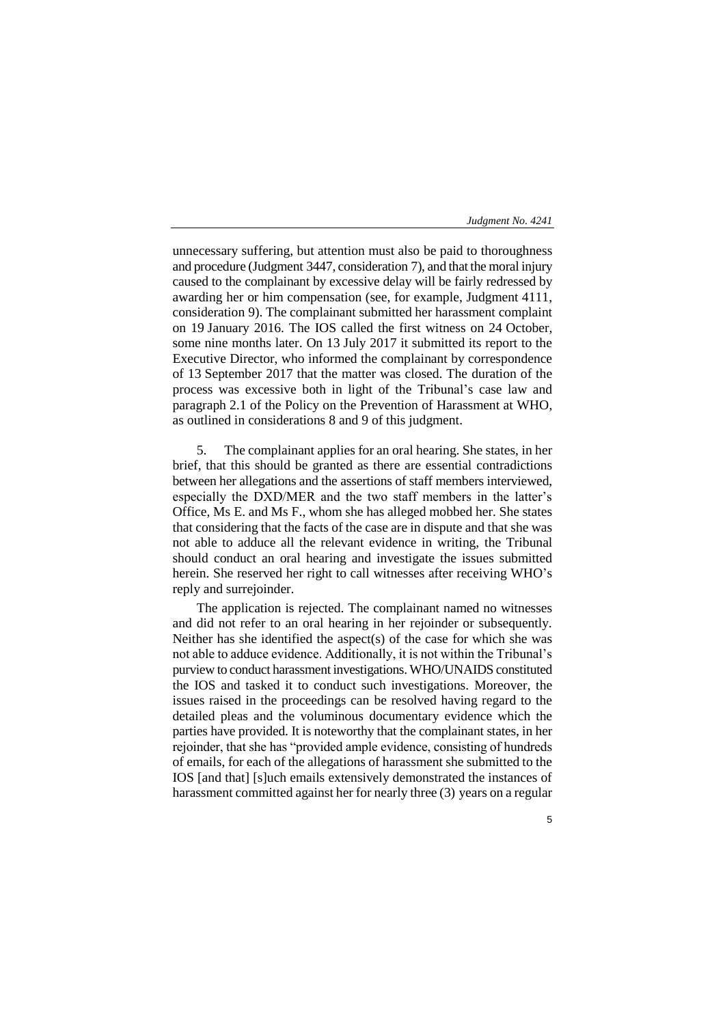unnecessary suffering, but attention must also be paid to thoroughness and procedure (Judgment 3447, consideration 7), and that the moral injury caused to the complainant by excessive delay will be fairly redressed by awarding her or him compensation (see, for example, Judgment 4111, consideration 9). The complainant submitted her harassment complaint on 19 January 2016. The IOS called the first witness on 24 October, some nine months later. On 13 July 2017 it submitted its report to the Executive Director, who informed the complainant by correspondence of 13 September 2017 that the matter was closed. The duration of the process was excessive both in light of the Tribunal's case law and paragraph 2.1 of the Policy on the Prevention of Harassment at WHO, as outlined in considerations 8 and 9 of this judgment.

5. The complainant applies for an oral hearing. She states, in her brief, that this should be granted as there are essential contradictions between her allegations and the assertions of staff members interviewed, especially the DXD/MER and the two staff members in the latter's Office, Ms E. and Ms F., whom she has alleged mobbed her. She states that considering that the facts of the case are in dispute and that she was not able to adduce all the relevant evidence in writing, the Tribunal should conduct an oral hearing and investigate the issues submitted herein. She reserved her right to call witnesses after receiving WHO's reply and surrejoinder.

The application is rejected. The complainant named no witnesses and did not refer to an oral hearing in her rejoinder or subsequently. Neither has she identified the aspect(s) of the case for which she was not able to adduce evidence. Additionally, it is not within the Tribunal's purview to conduct harassment investigations. WHO/UNAIDS constituted the IOS and tasked it to conduct such investigations. Moreover, the issues raised in the proceedings can be resolved having regard to the detailed pleas and the voluminous documentary evidence which the parties have provided. It is noteworthy that the complainant states, in her rejoinder, that she has "provided ample evidence, consisting of hundreds of emails, for each of the allegations of harassment she submitted to the IOS [and that] [s]uch emails extensively demonstrated the instances of harassment committed against her for nearly three (3) years on a regular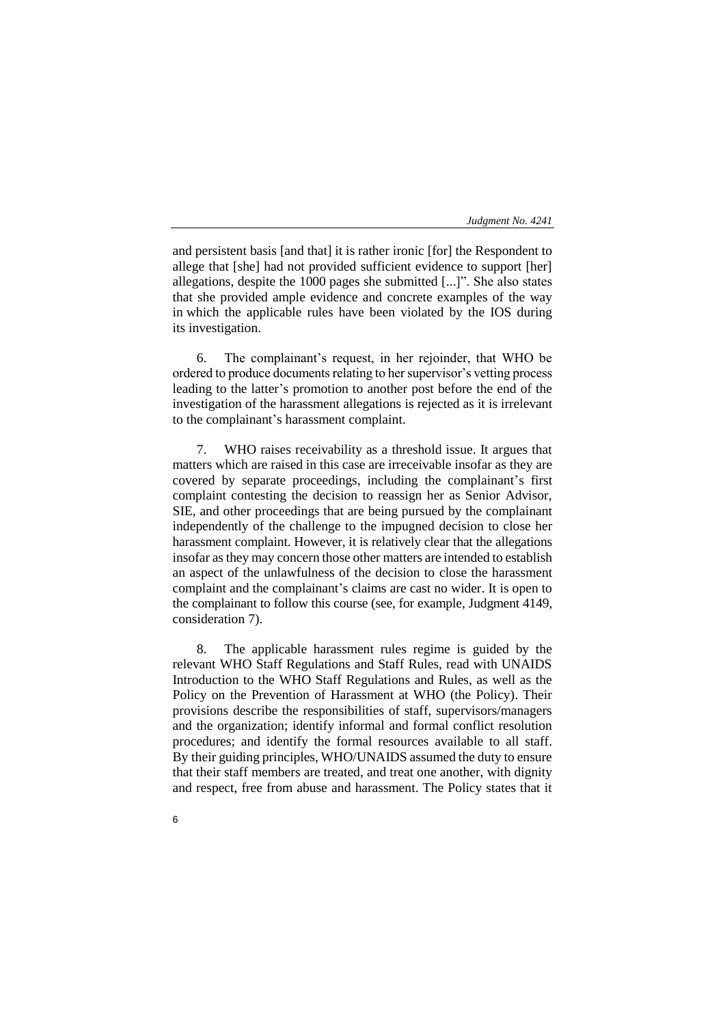and persistent basis [and that] it is rather ironic [for] the Respondent to allege that [she] had not provided sufficient evidence to support [her] allegations, despite the 1000 pages she submitted [...]". She also states that she provided ample evidence and concrete examples of the way in which the applicable rules have been violated by the IOS during its investigation.

6. The complainant's request, in her rejoinder, that WHO be ordered to produce documents relating to her supervisor's vetting process leading to the latter's promotion to another post before the end of the investigation of the harassment allegations is rejected as it is irrelevant to the complainant's harassment complaint.

7. WHO raises receivability as a threshold issue. It argues that matters which are raised in this case are irreceivable insofar as they are covered by separate proceedings, including the complainant's first complaint contesting the decision to reassign her as Senior Advisor, SIE, and other proceedings that are being pursued by the complainant independently of the challenge to the impugned decision to close her harassment complaint. However, it is relatively clear that the allegations insofar as they may concern those other matters are intended to establish an aspect of the unlawfulness of the decision to close the harassment complaint and the complainant's claims are cast no wider. It is open to the complainant to follow this course (see, for example, Judgment 4149, consideration 7).

8. The applicable harassment rules regime is guided by the relevant WHO Staff Regulations and Staff Rules, read with UNAIDS Introduction to the WHO Staff Regulations and Rules, as well as the Policy on the Prevention of Harassment at WHO (the Policy). Their provisions describe the responsibilities of staff, supervisors/managers and the organization; identify informal and formal conflict resolution procedures; and identify the formal resources available to all staff. By their guiding principles, WHO/UNAIDS assumed the duty to ensure that their staff members are treated, and treat one another, with dignity and respect, free from abuse and harassment. The Policy states that it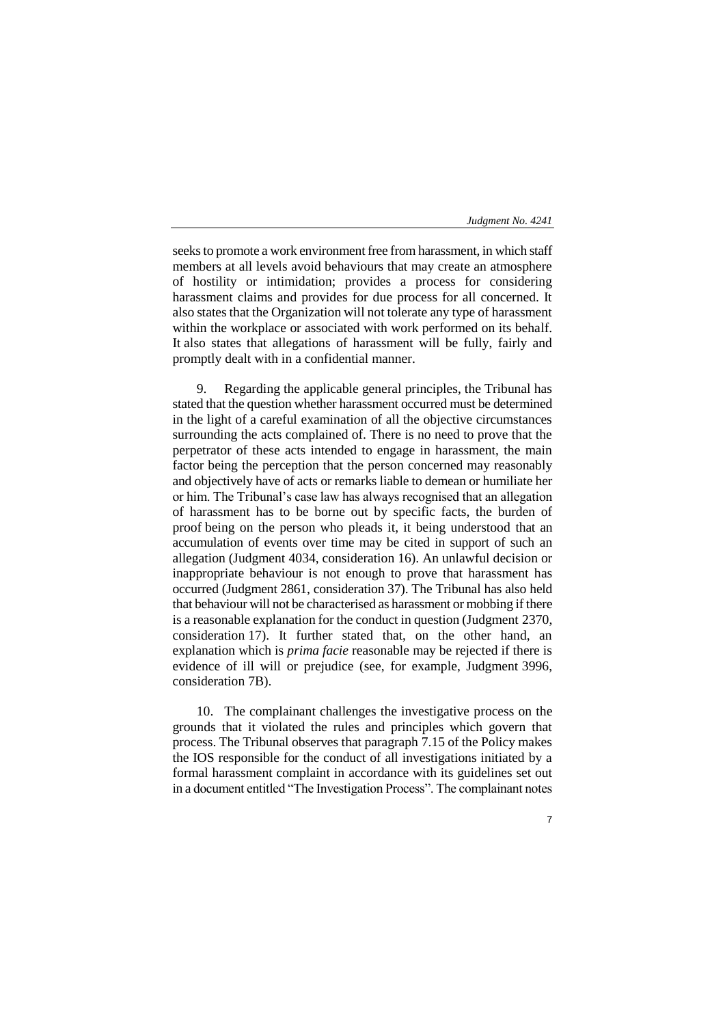seeks to promote a work environment free from harassment, in which staff members at all levels avoid behaviours that may create an atmosphere of hostility or intimidation; provides a process for considering harassment claims and provides for due process for all concerned. It also states that the Organization will not tolerate any type of harassment within the workplace or associated with work performed on its behalf. It also states that allegations of harassment will be fully, fairly and promptly dealt with in a confidential manner.

9. Regarding the applicable general principles, the Tribunal has stated that the question whether harassment occurred must be determined in the light of a careful examination of all the objective circumstances surrounding the acts complained of. There is no need to prove that the perpetrator of these acts intended to engage in harassment, the main factor being the perception that the person concerned may reasonably and objectively have of acts or remarks liable to demean or humiliate her or him. The Tribunal's case law has always recognised that an allegation of harassment has to be borne out by specific facts, the burden of proof being on the person who pleads it, it being understood that an accumulation of events over time may be cited in support of such an allegation (Judgment 4034, consideration 16). An unlawful decision or inappropriate behaviour is not enough to prove that harassment has occurred (Judgment 2861, consideration 37). The Tribunal has also held that behaviour will not be characterised as harassment or mobbing if there is a reasonable explanation for the conduct in question (Judgment 2370, consideration 17). It further stated that, on the other hand, an explanation which is *prima facie* reasonable may be rejected if there is evidence of ill will or prejudice (see, for example, Judgment 3996, consideration 7B).

10. The complainant challenges the investigative process on the grounds that it violated the rules and principles which govern that process. The Tribunal observes that paragraph 7.15 of the Policy makes the IOS responsible for the conduct of all investigations initiated by a formal harassment complaint in accordance with its guidelines set out in a document entitled "The Investigation Process". The complainant notes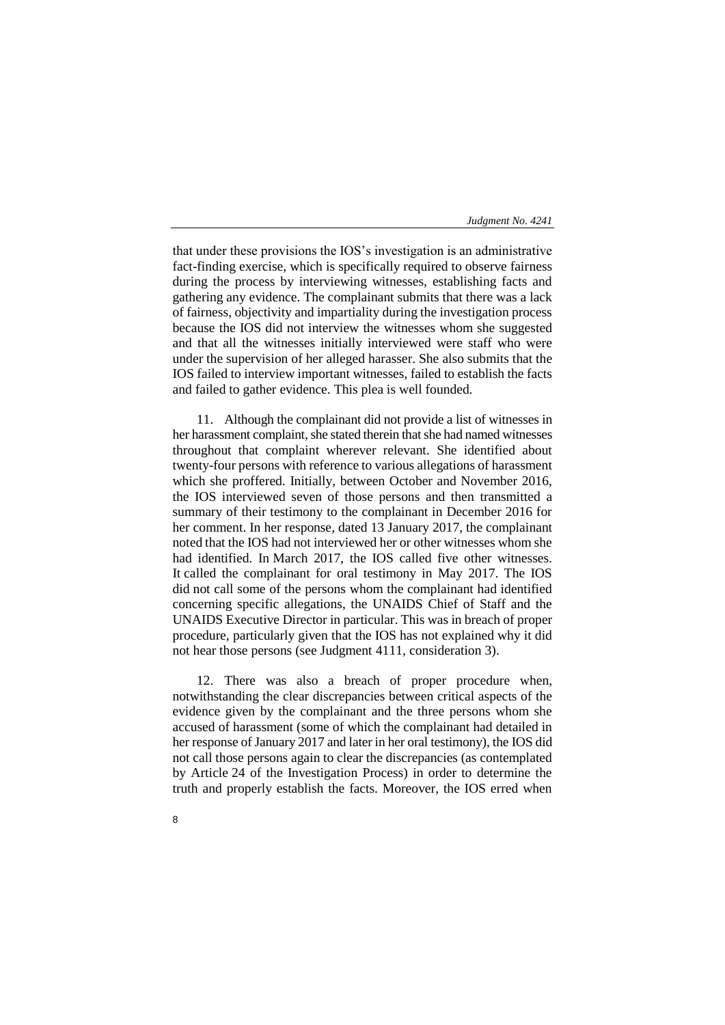that under these provisions the IOS's investigation is an administrative fact-finding exercise, which is specifically required to observe fairness during the process by interviewing witnesses, establishing facts and gathering any evidence. The complainant submits that there was a lack of fairness, objectivity and impartiality during the investigation process because the IOS did not interview the witnesses whom she suggested and that all the witnesses initially interviewed were staff who were under the supervision of her alleged harasser. She also submits that the IOS failed to interview important witnesses, failed to establish the facts and failed to gather evidence. This plea is well founded.

11. Although the complainant did not provide a list of witnesses in her harassment complaint, she stated therein that she had named witnesses throughout that complaint wherever relevant. She identified about twenty-four persons with reference to various allegations of harassment which she proffered. Initially, between October and November 2016, the IOS interviewed seven of those persons and then transmitted a summary of their testimony to the complainant in December 2016 for her comment. In her response, dated 13 January 2017, the complainant noted that the IOS had not interviewed her or other witnesses whom she had identified. In March 2017, the IOS called five other witnesses. It called the complainant for oral testimony in May 2017. The IOS did not call some of the persons whom the complainant had identified concerning specific allegations, the UNAIDS Chief of Staff and the UNAIDS Executive Director in particular. This was in breach of proper procedure, particularly given that the IOS has not explained why it did not hear those persons (see Judgment 4111, consideration 3).

12. There was also a breach of proper procedure when, notwithstanding the clear discrepancies between critical aspects of the evidence given by the complainant and the three persons whom she accused of harassment (some of which the complainant had detailed in her response of January 2017 and later in her oral testimony), the IOS did not call those persons again to clear the discrepancies (as contemplated by Article 24 of the Investigation Process) in order to determine the truth and properly establish the facts. Moreover, the IOS erred when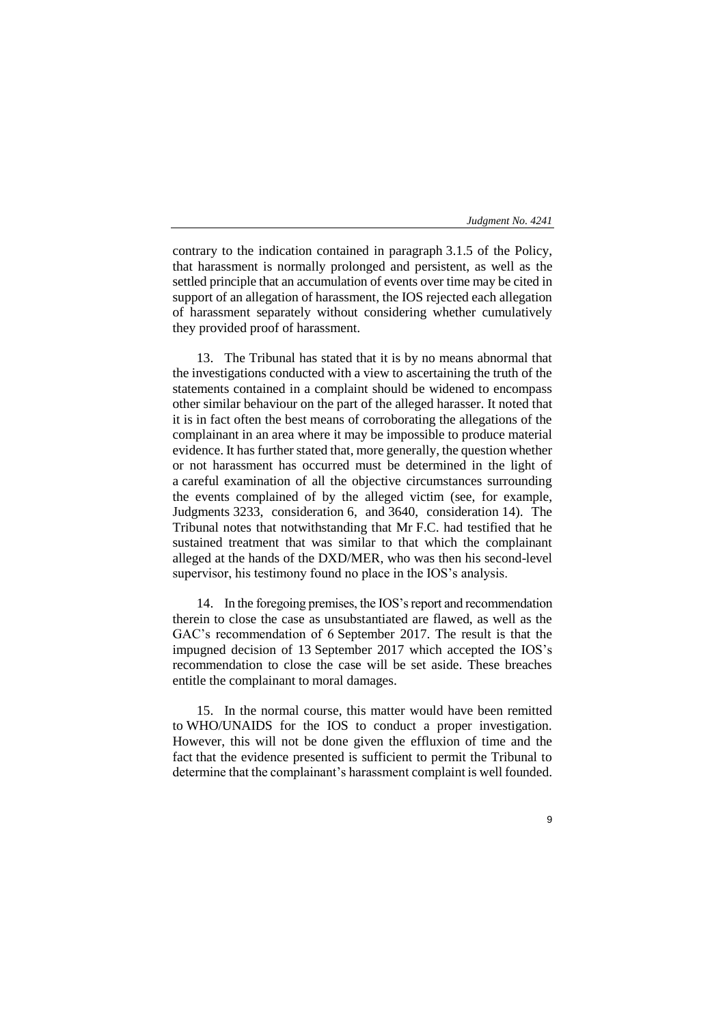contrary to the indication contained in paragraph 3.1.5 of the Policy, that harassment is normally prolonged and persistent, as well as the settled principle that an accumulation of events over time may be cited in support of an allegation of harassment, the IOS rejected each allegation of harassment separately without considering whether cumulatively they provided proof of harassment.

13. The Tribunal has stated that it is by no means abnormal that the investigations conducted with a view to ascertaining the truth of the statements contained in a complaint should be widened to encompass other similar behaviour on the part of the alleged harasser. It noted that it is in fact often the best means of corroborating the allegations of the complainant in an area where it may be impossible to produce material evidence. It has further stated that, more generally, the question whether or not harassment has occurred must be determined in the light of a careful examination of all the objective circumstances surrounding the events complained of by the alleged victim (see, for example, Judgments 3233, consideration 6, and 3640, consideration 14). The Tribunal notes that notwithstanding that Mr F.C. had testified that he sustained treatment that was similar to that which the complainant alleged at the hands of the DXD/MER, who was then his second-level supervisor, his testimony found no place in the IOS's analysis.

14. In the foregoing premises, the IOS's report and recommendation therein to close the case as unsubstantiated are flawed, as well as the GAC's recommendation of 6 September 2017. The result is that the impugned decision of 13 September 2017 which accepted the IOS's recommendation to close the case will be set aside. These breaches entitle the complainant to moral damages.

15. In the normal course, this matter would have been remitted to WHO/UNAIDS for the IOS to conduct a proper investigation. However, this will not be done given the effluxion of time and the fact that the evidence presented is sufficient to permit the Tribunal to determine that the complainant's harassment complaint is well founded.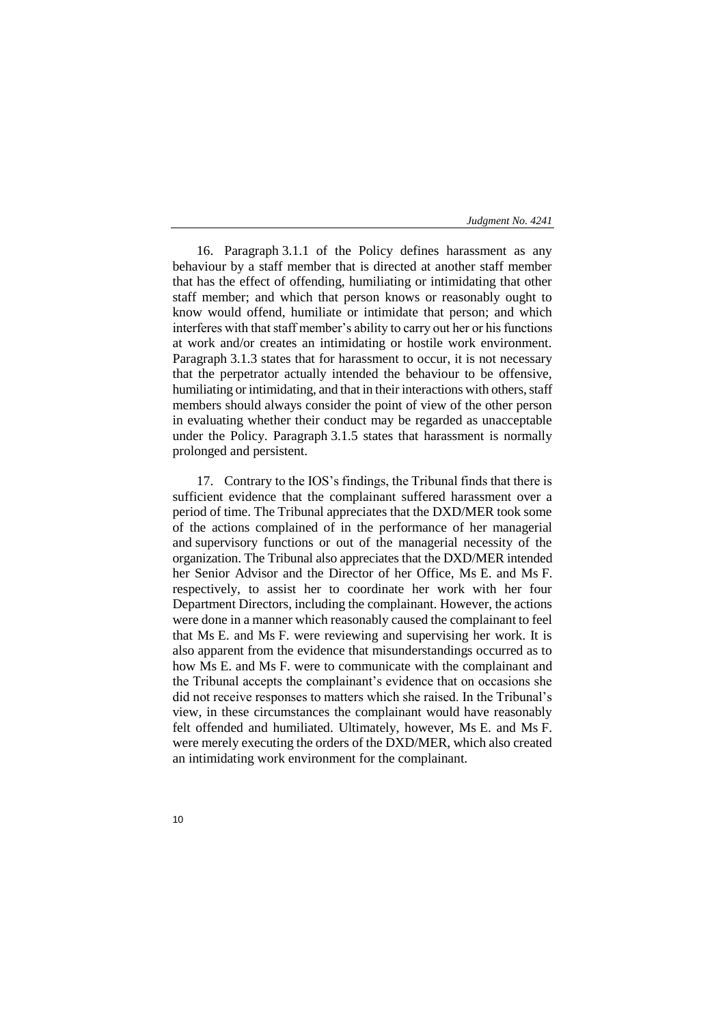16. Paragraph 3.1.1 of the Policy defines harassment as any behaviour by a staff member that is directed at another staff member that has the effect of offending, humiliating or intimidating that other staff member; and which that person knows or reasonably ought to know would offend, humiliate or intimidate that person; and which interferes with that staff member's ability to carry out her or his functions at work and/or creates an intimidating or hostile work environment. Paragraph 3.1.3 states that for harassment to occur, it is not necessary that the perpetrator actually intended the behaviour to be offensive, humiliating or intimidating, and that in their interactions with others, staff members should always consider the point of view of the other person in evaluating whether their conduct may be regarded as unacceptable under the Policy. Paragraph 3.1.5 states that harassment is normally prolonged and persistent.

17. Contrary to the IOS's findings, the Tribunal finds that there is sufficient evidence that the complainant suffered harassment over a period of time. The Tribunal appreciates that the DXD/MER took some of the actions complained of in the performance of her managerial and supervisory functions or out of the managerial necessity of the organization. The Tribunal also appreciates that the DXD/MER intended her Senior Advisor and the Director of her Office, Ms E. and Ms F. respectively, to assist her to coordinate her work with her four Department Directors, including the complainant. However, the actions were done in a manner which reasonably caused the complainant to feel that Ms E. and Ms F. were reviewing and supervising her work. It is also apparent from the evidence that misunderstandings occurred as to how Ms E. and Ms F. were to communicate with the complainant and the Tribunal accepts the complainant's evidence that on occasions she did not receive responses to matters which she raised. In the Tribunal's view, in these circumstances the complainant would have reasonably felt offended and humiliated. Ultimately, however, Ms E. and Ms F. were merely executing the orders of the DXD/MER, which also created an intimidating work environment for the complainant.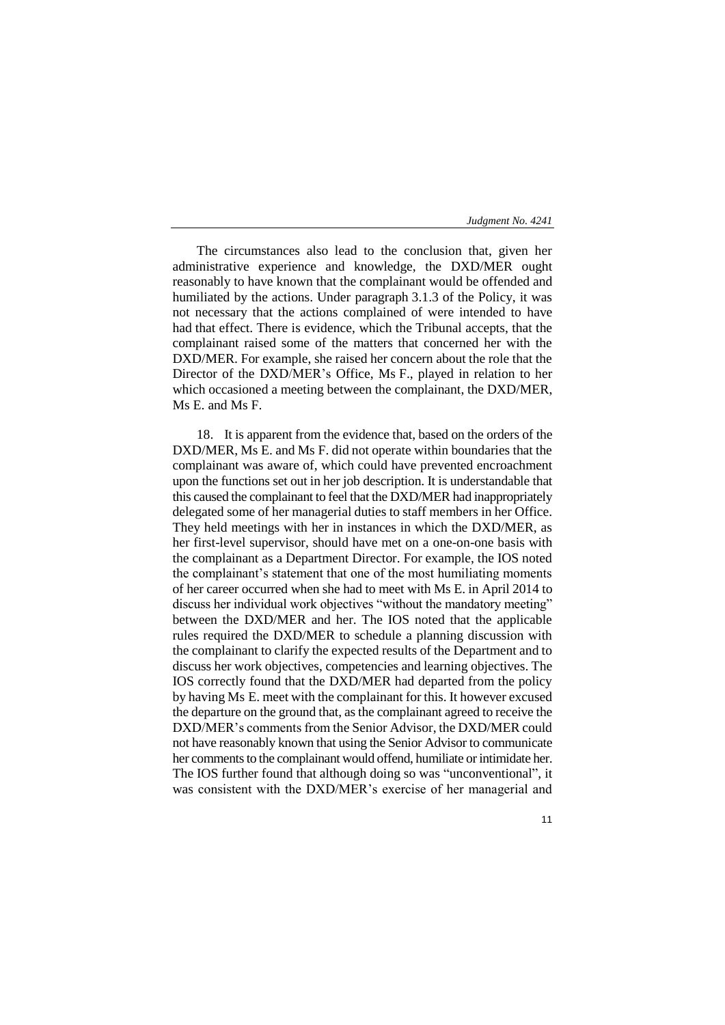The circumstances also lead to the conclusion that, given her administrative experience and knowledge, the DXD/MER ought reasonably to have known that the complainant would be offended and humiliated by the actions. Under paragraph 3.1.3 of the Policy, it was not necessary that the actions complained of were intended to have had that effect. There is evidence, which the Tribunal accepts, that the complainant raised some of the matters that concerned her with the DXD/MER. For example, she raised her concern about the role that the Director of the DXD/MER's Office, Ms F., played in relation to her which occasioned a meeting between the complainant, the DXD/MER, Ms E. and Ms F.

18. It is apparent from the evidence that, based on the orders of the DXD/MER, Ms E. and Ms F. did not operate within boundaries that the complainant was aware of, which could have prevented encroachment upon the functions set out in her job description. It is understandable that this caused the complainant to feel that the DXD/MER had inappropriately delegated some of her managerial duties to staff members in her Office. They held meetings with her in instances in which the DXD/MER, as her first-level supervisor, should have met on a one-on-one basis with the complainant as a Department Director. For example, the IOS noted the complainant's statement that one of the most humiliating moments of her career occurred when she had to meet with Ms E. in April 2014 to discuss her individual work objectives "without the mandatory meeting" between the DXD/MER and her. The IOS noted that the applicable rules required the DXD/MER to schedule a planning discussion with the complainant to clarify the expected results of the Department and to discuss her work objectives, competencies and learning objectives. The IOS correctly found that the DXD/MER had departed from the policy by having Ms E. meet with the complainant for this. It however excused the departure on the ground that, as the complainant agreed to receive the DXD/MER's comments from the Senior Advisor, the DXD/MER could not have reasonably known that using the Senior Advisor to communicate her comments to the complainant would offend, humiliate or intimidate her. The IOS further found that although doing so was "unconventional", it was consistent with the DXD/MER's exercise of her managerial and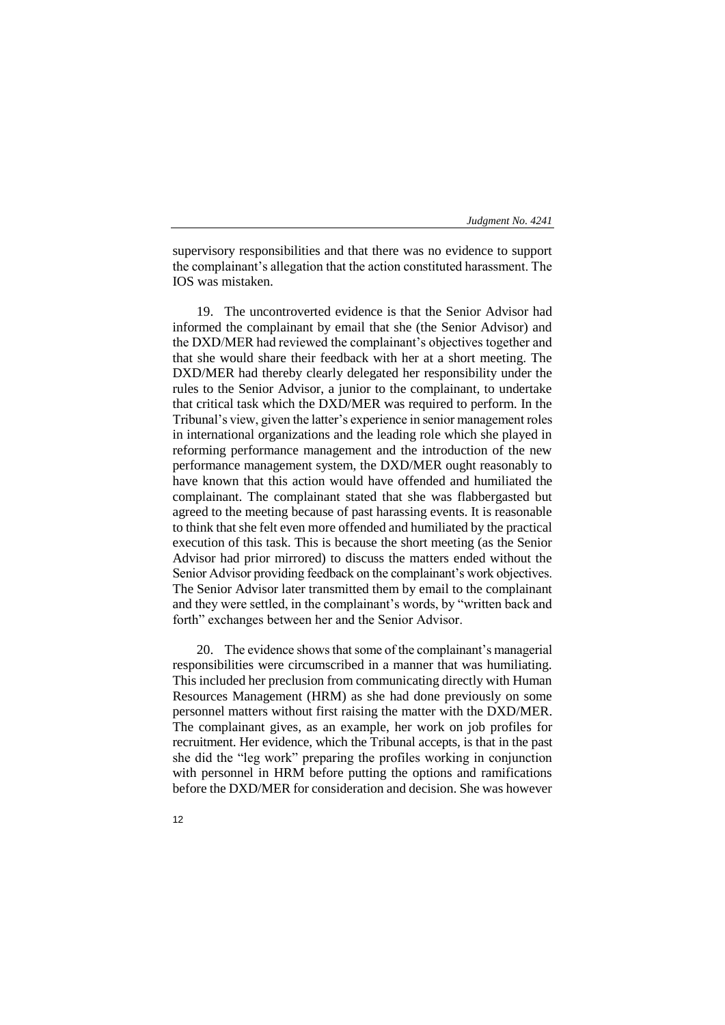supervisory responsibilities and that there was no evidence to support the complainant's allegation that the action constituted harassment. The IOS was mistaken.

19. The uncontroverted evidence is that the Senior Advisor had informed the complainant by email that she (the Senior Advisor) and the DXD/MER had reviewed the complainant's objectives together and that she would share their feedback with her at a short meeting. The DXD/MER had thereby clearly delegated her responsibility under the rules to the Senior Advisor, a junior to the complainant, to undertake that critical task which the DXD/MER was required to perform. In the Tribunal's view, given the latter's experience in senior management roles in international organizations and the leading role which she played in reforming performance management and the introduction of the new performance management system, the DXD/MER ought reasonably to have known that this action would have offended and humiliated the complainant. The complainant stated that she was flabbergasted but agreed to the meeting because of past harassing events. It is reasonable to think that she felt even more offended and humiliated by the practical execution of this task. This is because the short meeting (as the Senior Advisor had prior mirrored) to discuss the matters ended without the Senior Advisor providing feedback on the complainant's work objectives. The Senior Advisor later transmitted them by email to the complainant and they were settled, in the complainant's words, by "written back and forth" exchanges between her and the Senior Advisor.

20. The evidence shows that some of the complainant's managerial responsibilities were circumscribed in a manner that was humiliating. This included her preclusion from communicating directly with Human Resources Management (HRM) as she had done previously on some personnel matters without first raising the matter with the DXD/MER. The complainant gives, as an example, her work on job profiles for recruitment. Her evidence, which the Tribunal accepts, is that in the past she did the "leg work" preparing the profiles working in conjunction with personnel in HRM before putting the options and ramifications before the DXD/MER for consideration and decision. She was however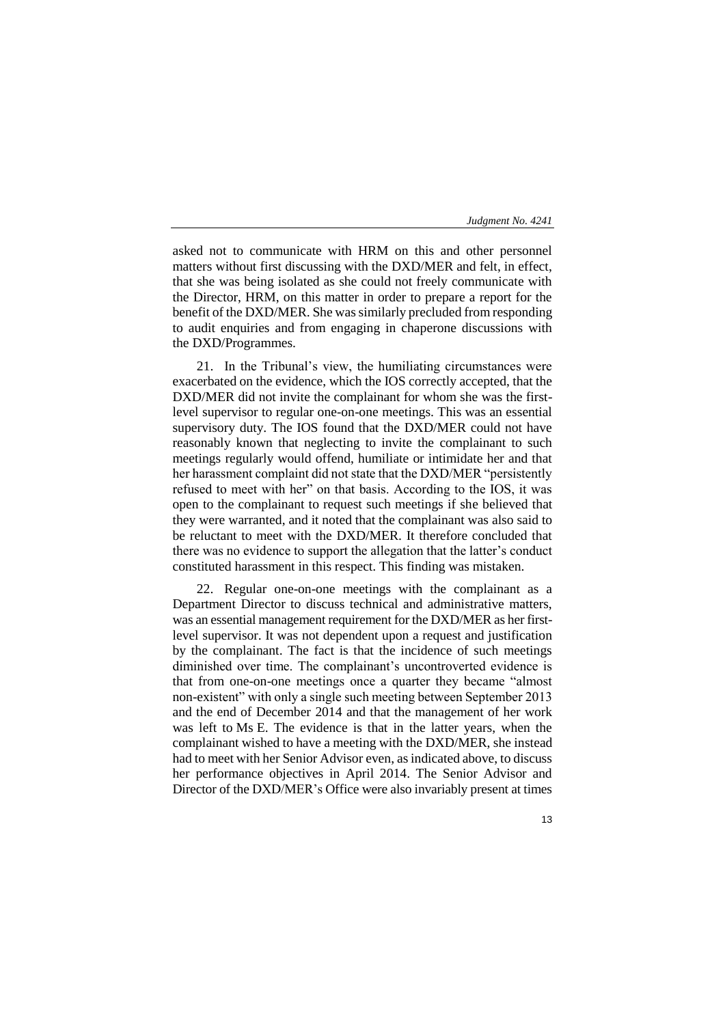asked not to communicate with HRM on this and other personnel matters without first discussing with the DXD/MER and felt, in effect, that she was being isolated as she could not freely communicate with the Director, HRM, on this matter in order to prepare a report for the benefit of the DXD/MER. She was similarly precluded from responding to audit enquiries and from engaging in chaperone discussions with the DXD/Programmes.

21. In the Tribunal's view, the humiliating circumstances were exacerbated on the evidence, which the IOS correctly accepted, that the DXD/MER did not invite the complainant for whom she was the firstlevel supervisor to regular one-on-one meetings. This was an essential supervisory duty. The IOS found that the DXD/MER could not have reasonably known that neglecting to invite the complainant to such meetings regularly would offend, humiliate or intimidate her and that her harassment complaint did not state that the DXD/MER "persistently refused to meet with her" on that basis. According to the IOS, it was open to the complainant to request such meetings if she believed that they were warranted, and it noted that the complainant was also said to be reluctant to meet with the DXD/MER. It therefore concluded that there was no evidence to support the allegation that the latter's conduct constituted harassment in this respect. This finding was mistaken.

22. Regular one-on-one meetings with the complainant as a Department Director to discuss technical and administrative matters, was an essential management requirement for the DXD/MER as her firstlevel supervisor. It was not dependent upon a request and justification by the complainant. The fact is that the incidence of such meetings diminished over time. The complainant's uncontroverted evidence is that from one-on-one meetings once a quarter they became "almost non-existent" with only a single such meeting between September 2013 and the end of December 2014 and that the management of her work was left to Ms E. The evidence is that in the latter years, when the complainant wished to have a meeting with the DXD/MER, she instead had to meet with her Senior Advisor even, as indicated above, to discuss her performance objectives in April 2014. The Senior Advisor and Director of the DXD/MER's Office were also invariably present at times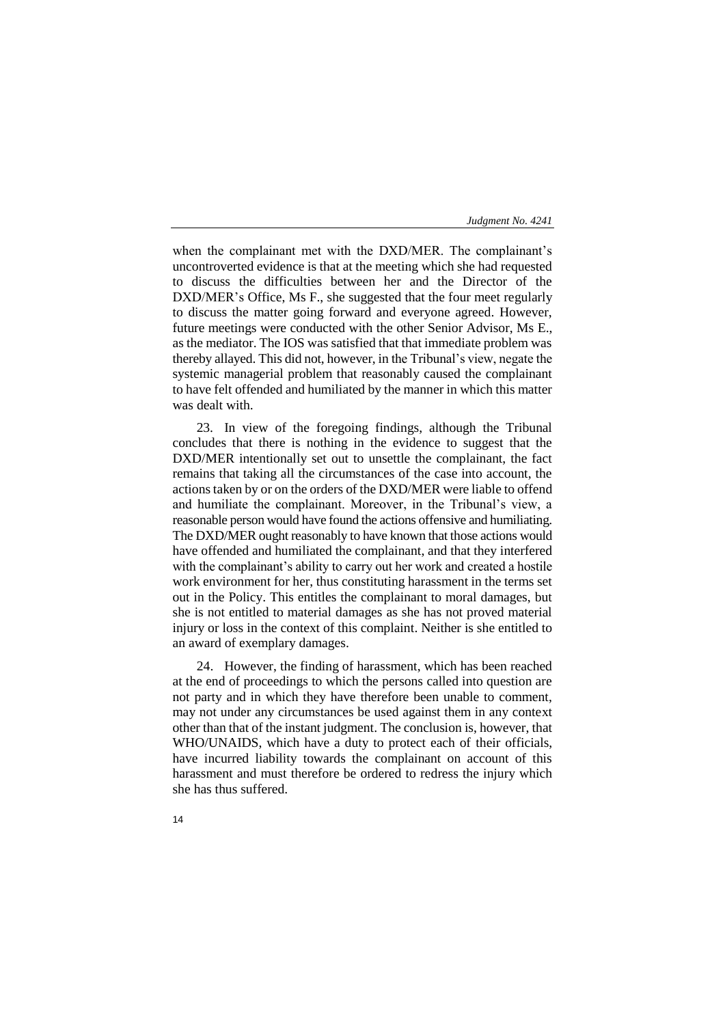when the complainant met with the DXD/MER. The complainant's uncontroverted evidence is that at the meeting which she had requested to discuss the difficulties between her and the Director of the DXD/MER's Office, Ms F., she suggested that the four meet regularly to discuss the matter going forward and everyone agreed. However, future meetings were conducted with the other Senior Advisor, Ms E., as the mediator. The IOS was satisfied that that immediate problem was thereby allayed. This did not, however, in the Tribunal's view, negate the systemic managerial problem that reasonably caused the complainant to have felt offended and humiliated by the manner in which this matter was dealt with.

23. In view of the foregoing findings, although the Tribunal concludes that there is nothing in the evidence to suggest that the DXD/MER intentionally set out to unsettle the complainant, the fact remains that taking all the circumstances of the case into account, the actions taken by or on the orders of the DXD/MER were liable to offend and humiliate the complainant. Moreover, in the Tribunal's view, a reasonable person would have found the actions offensive and humiliating. The DXD/MER ought reasonably to have known that those actions would have offended and humiliated the complainant, and that they interfered with the complainant's ability to carry out her work and created a hostile work environment for her, thus constituting harassment in the terms set out in the Policy. This entitles the complainant to moral damages, but she is not entitled to material damages as she has not proved material injury or loss in the context of this complaint. Neither is she entitled to an award of exemplary damages.

24. However, the finding of harassment, which has been reached at the end of proceedings to which the persons called into question are not party and in which they have therefore been unable to comment, may not under any circumstances be used against them in any context other than that of the instant judgment. The conclusion is, however, that WHO/UNAIDS, which have a duty to protect each of their officials, have incurred liability towards the complainant on account of this harassment and must therefore be ordered to redress the injury which she has thus suffered.